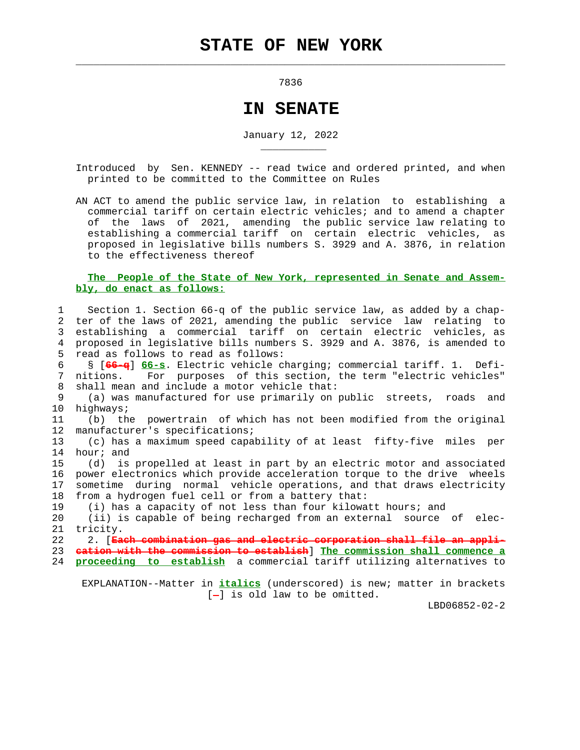$\mathcal{L}_\text{max} = \frac{1}{2} \sum_{i=1}^{n} \frac{1}{2} \sum_{i=1}^{n} \frac{1}{2} \sum_{i=1}^{n} \frac{1}{2} \sum_{i=1}^{n} \frac{1}{2} \sum_{i=1}^{n} \frac{1}{2} \sum_{i=1}^{n} \frac{1}{2} \sum_{i=1}^{n} \frac{1}{2} \sum_{i=1}^{n} \frac{1}{2} \sum_{i=1}^{n} \frac{1}{2} \sum_{i=1}^{n} \frac{1}{2} \sum_{i=1}^{n} \frac{1}{2} \sum_{i=1}^{n} \frac{1$ 

\_\_\_\_\_\_\_\_\_\_\_

7836

## **IN SENATE**

January 12, 2022

- Introduced by Sen. KENNEDY -- read twice and ordered printed, and when printed to be committed to the Committee on Rules
- AN ACT to amend the public service law, in relation to establishing a commercial tariff on certain electric vehicles; and to amend a chapter of the laws of 2021, amending the public service law relating to establishing a commercial tariff on certain electric vehicles, as proposed in legislative bills numbers S. 3929 and A. 3876, in relation to the effectiveness thereof

## **The People of the State of New York, represented in Senate and Assem bly, do enact as follows:**

 1 Section 1. Section 66-q of the public service law, as added by a chap- 2 ter of the laws of 2021, amending the public service law relating to 3 establishing a commercial tariff on certain electric vehicles, as 4 proposed in legislative bills numbers S. 3929 and A. 3876, is amended to 5 read as follows to read as follows: 6 § [**66-q**] **66-s**. Electric vehicle charging; commercial tariff. 1. Defi- 7 nitions. For purposes of this section, the term "electric vehicles" 8 shall mean and include a motor vehicle that: 9 (a) was manufactured for use primarily on public streets, roads and 10 highways; 11 (b) the powertrain of which has not been modified from the original 12 manufacturer's specifications; 13 (c) has a maximum speed capability of at least fifty-five miles per 14 hour; and 15 (d) is propelled at least in part by an electric motor and associated 16 power electronics which provide acceleration torque to the drive wheels 17 sometime during normal vehicle operations, and that draws electricity 18 from a hydrogen fuel cell or from a battery that: 19 (i) has a capacity of not less than four kilowatt hours; and 20 (ii) is capable of being recharged from an external source of elec- 21 tricity. 22 2. [**Each combination gas and electric corporation shall file an appli-** 23 **cation with the commission to establish**] **The commission shall commence a** 24 **proceeding to establish** a commercial tariff utilizing alternatives to

 EXPLANATION--Matter in **italics** (underscored) is new; matter in brackets  $[-]$  is old law to be omitted.

LBD06852-02-2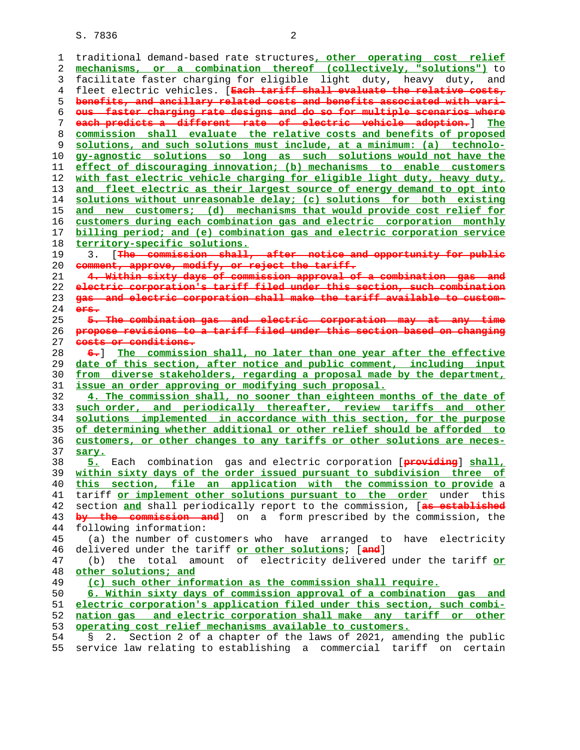S. 7836 2

 1 traditional demand-based rate structures**, other operating cost relief mechanisms, or a combination thereof (collectively, "solutions")** to 3 facilitate faster charging for eligible light duty, heavy duty, and 4 fleet electric vehicles. [**Each tariff shall evaluate the relative costs, benefits, and ancillary related costs and benefits associated with vari- ous faster charging rate designs and do so for multiple scenarios where each predicts a different rate of electric vehicle adoption.**] **The commission shall evaluate the relative costs and benefits of proposed solutions, and such solutions must include, at a minimum: (a) technolo- gy-agnostic solutions so long as such solutions would not have the effect of discouraging innovation; (b) mechanisms to enable customers with fast electric vehicle charging for eligible light duty, heavy duty, and fleet electric as their largest source of energy demand to opt into solutions without unreasonable delay; (c) solutions for both existing and new customers; (d) mechanisms that would provide cost relief for customers during each combination gas and electric corporation monthly billing period; and (e) combination gas and electric corporation service territory-specific solutions.** 19 3. [**The commission shall, after notice and opportunity for public comment, approve, modify, or reject the tariff. 4. Within sixty days of commission approval of a combination gas and electric corporation's tariff filed under this section, such combination gas and electric corporation shall make the tariff available to custom- ers. 5. The combination gas and electric corporation may at any time propose revisions to a tariff filed under this section based on changing costs or conditions. 6.**] **The commission shall, no later than one year after the effective date of this section, after notice and public comment, including input from diverse stakeholders, regarding a proposal made by the department, issue an order approving or modifying such proposal. 4. The commission shall, no sooner than eighteen months of the date of such order, and periodically thereafter, review tariffs and other solutions implemented in accordance with this section, for the purpose of determining whether additional or other relief should be afforded to customers, or other changes to any tariffs or other solutions are neces- sary. 5.** Each combination gas and electric corporation [**providing**] **shall, within sixty days of the order issued pursuant to subdivision three of this section, file an application with the commission to provide** a 41 tariff **or implement other solutions pursuant to the order** under this 42 section **and** shall periodically report to the commission, [**as established by the commission and**] on a form prescribed by the commission, the 44 following information: 45 (a) the number of customers who have arranged to have electricity 46 delivered under the tariff **or other solutions**; [**and**] 47 (b) the total amount of electricity delivered under the tariff **or other solutions; and (c) such other information as the commission shall require. 6. Within sixty days of commission approval of a combination gas and electric corporation's application filed under this section, such combi- nation gas and electric corporation shall make any tariff or other operating cost relief mechanisms available to customers.** 54 § 2. Section 2 of a chapter of the laws of 2021, amending the public 55 service law relating to establishing a commercial tariff on certain